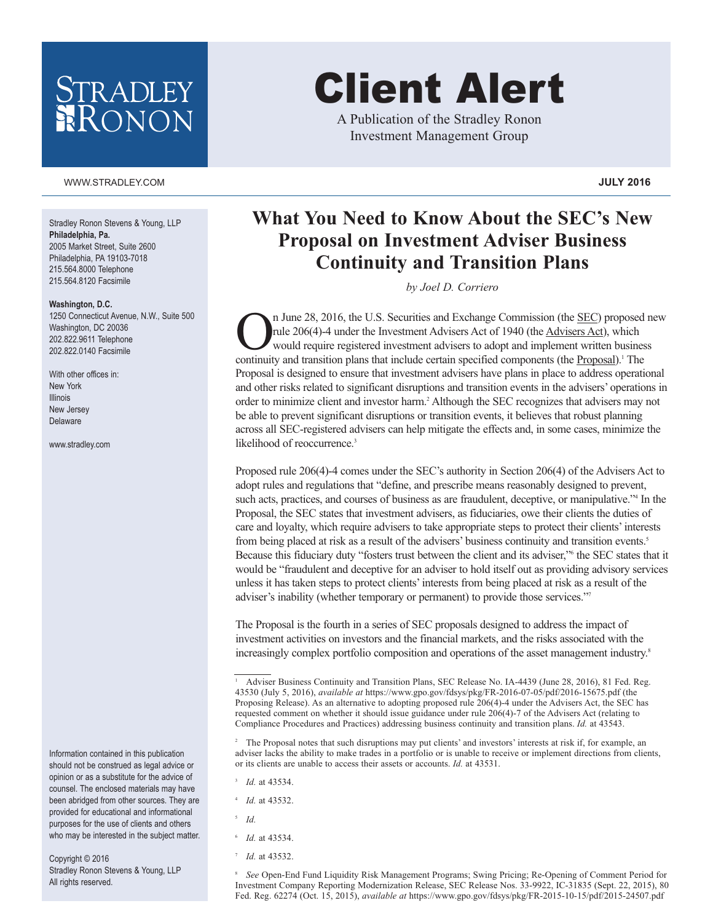## STRADLEY RONON

#### WWW.STRADLEY.COM **JULY 2016**

Stradley Ronon Stevens & Young, LLP **Philadelphia, Pa.** 2005 Market Street, Suite 2600 Philadelphia, PA 19103-7018 215.564.8000 Telephone 215.564.8120 Facsimile

#### **Washington, D.C.**

1250 Connecticut Avenue, N.W., Suite 500 Washington, DC 20036 202.822.9611 Telephone 202.822.0140 Facsimile

With other offices in: New York Illinois New Jersey Delaware

www.stradley.com

Information contained in this publication should not be construed as legal advice or opinion or as a substitute for the advice of counsel. The enclosed materials may have been abridged from other sources. They are provided for educational and informational purposes for the use of clients and others who may be interested in the subject matter.

Copyright © 2016 Stradley Ronon Stevens & Young, LLP All rights reserved.

# Client Alert

A Publication of the Stradley Ronon Investment Management Group

### **What You Need to Know About the SEC's New Proposal on Investment Adviser Business Continuity and Transition Plans**

*by Joel D. Corriero*

 $\bigcap_{\text{rule }206(4)-4 \text{ under the Investment Advisers Act of 1940 (the Advisers Act), which would require registered investment advisers to adopt and implement written business continuity and transition plans that include certain specified components (the Pronosal)<sup>1</sup> The$ rule 206(4)-4 under the Investment Advisers Act of 1940 (the Advisers Act), which would require registered investment advisers to adopt and implement written business continuity and transition plans that include certain specified components (the Proposal).<sup>1</sup> The Proposal is designed to ensure that investment advisers have plans in place to address operational and other risks related to significant disruptions and transition events in the advisers' operations in order to minimize client and investor harm. <sup>2</sup> Although the SEC recognizes that advisers may not be able to prevent significant disruptions or transition events, it believes that robust planning across all SEC-registered advisers can help mitigate the effects and, in some cases, minimize the likelihood of reoccurrence. 3

Proposed rule 206(4)-4 comes under the SEC's authority in Section 206(4) of the Advisers Act to adopt rules and regulations that "define, and prescribe means reasonably designed to prevent, such acts, practices, and courses of business as are fraudulent, deceptive, or manipulative."<sup>4</sup> In the Proposal, the SEC states that investment advisers, as fiduciaries, owe their clients the duties of care and loyalty, which require advisers to take appropriate steps to protect their clients'interests from being placed at risk as a result of the advisers' business continuity and transition events.<sup>5</sup> Because this fiduciary duty "fosters trust between the client and its adviser,"6 the SEC states that it would be "fraudulent and deceptive for an adviser to hold itself out as providing advisory services unless it has taken steps to protect clients'interests from being placed at risk as a result of the adviser's inability (whether temporary or permanent) to provide those services."7

The Proposal is the fourth in a series of SEC proposals designed to address the impact of investment activities on investors and the financial markets, and the risks associated with the increasingly complex portfolio composition and operations of the asset management industry. 8

- <sup>3</sup> *Id.* at 43534.
- <sup>4</sup> *Id.* at 43532.
- <sup>5</sup> *Id.*
- <sup>6</sup> *Id.* at 43534.
- 7 *Id.* at 43532.

<sup>8</sup> *See* Open-End Fund Liquidity Risk Management Programs; Swing Pricing; Re-Opening of Comment Period for Investment Company Reporting Modernization Release, SEC Release Nos. 33-9922, IC-31835 (Sept. 22, 2015), 80 Fed. Reg. 62274 (Oct. 15, 2015), *available at* https://www.gpo.gov/fdsys/pkg/FR-2015-10-15/pdf/2015-24507.pdf

<sup>&</sup>lt;sup>1</sup> Adviser Business Continuity and Transition Plans, SEC Release No. IA-4439 (June 28, 2016), 81 Fed. Reg. 43530 (July 5, 2016), *available at* https://www.gpo.gov/fdsys/pkg/FR-2016-07-05/pdf/2016-15675.pdf (the Proposing Release). As an alternative to adopting proposed rule 206(4)-4 under the Advisers Act, the SEC has requested comment on whether it should issue guidance under rule 206(4)-7 of the Advisers Act (relating to Compliance Procedures and Practices) addressing business continuity and transition plans. *Id.* at 43543.

<sup>&</sup>lt;sup>2</sup> The Proposal notes that such disruptions may put clients' and investors' interests at risk if, for example, an adviser lacks the ability to make trades in a portfolio or is unable to receive or implement directions from clients, or its clients are unable to access their assets or accounts. *Id.* at 43531.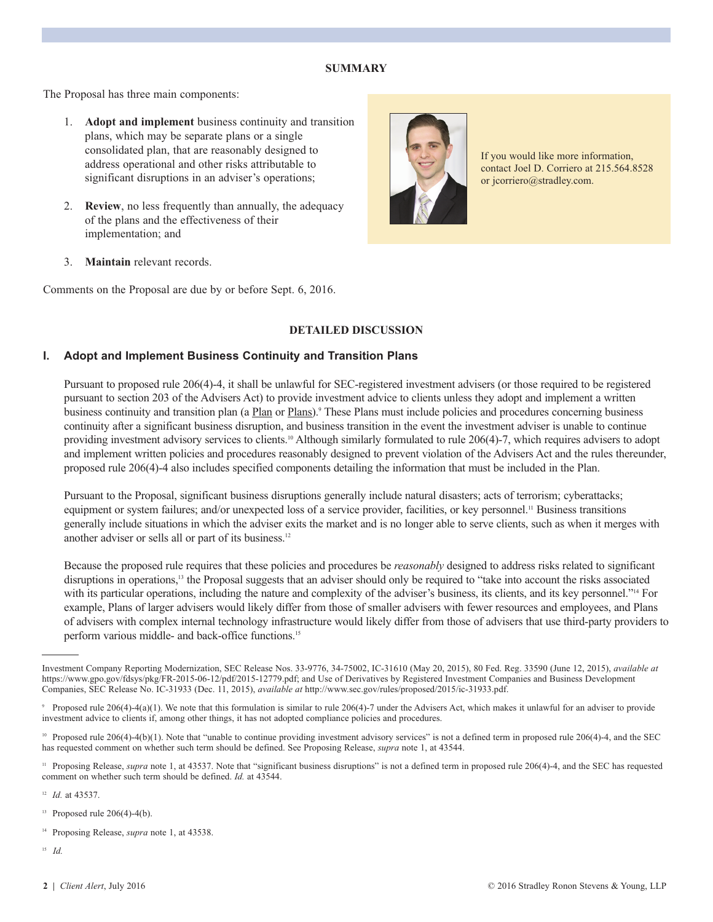#### **SUMMARY**

The Proposal has three main components:

- 1. **Adopt and implement** business continuity and transition plans, which may be separate plans or a single consolidated plan, that are reasonably designed to address operational and other risks attributable to significant disruptions in an adviser's operations;
- 2. **Review**, no less frequently than annually, the adequacy of the plans and the effectiveness of their implementation; and



If you would like more information, contact Joel D. Corriero at 215.564.8528 or jcorriero@stradley.com.

3. **Maintain** relevant records.

Comments on the Proposal are due by or before Sept. 6, 2016.

#### **DETAILED DISCUSSION**

#### **I. Adopt and Implement Business Continuity and Transition Plans**

 Pursuant to proposed rule 206(4)-4, it shall be unlawful for SEC-registered investment advisers (or those required to be registered pursuant to section 203 of the Advisers Act) to provide investment advice to clients unless they adopt and implement a written business continuity and transition plan (a Plan or Plans).<sup>9</sup> These Plans must include policies and procedures concerning business continuity after a significant business disruption, and business transition in the event the investment adviser is unable to continue providing investment advisory services to clients.<sup>10</sup> Although similarly formulated to rule 206(4)-7, which requires advisers to adopt and implement written policies and procedures reasonably designed to prevent violation of the Advisers Act and the rules thereunder, proposed rule 206(4)-4 also includes specified components detailing the information that must be included in the Plan.

Pursuant to the Proposal, significant business disruptions generally include natural disasters; acts of terrorism; cyberattacks; equipment or system failures; and/or unexpected loss of a service provider, facilities, or key personnel.<sup>11</sup> Business transitions generally include situations in which the adviser exits the market and is no longer able to serve clients, such as when it merges with another adviser or sells all or part of its business. 12

Because the proposed rule requires that these policies and procedures be *reasonably* designed to address risks related to significant disruptions in operations,<sup>13</sup> the Proposal suggests that an adviser should only be required to "take into account the risks associated with its particular operations, including the nature and complexity of the adviser's business, its clients, and its key personnel."<sup>14</sup> For example, Plans of larger advisers would likely differ from those of smaller advisers with fewer resources and employees, and Plans of advisers with complex internal technology infrastructure would likely differ from those of advisers that use third-party providers to perform various middle- and back-office functions. 15

<sup>11</sup> Proposing Release, *supra* note 1, at 43537. Note that "significant business disruptions" is not a defined term in proposed rule 206(4)-4, and the SEC has requested comment on whether such term should be defined. *Id.* at 43544.

12 *Id.* at 43537.

 $13$  Proposed rule 206(4)-4(b).

14 Proposing Release, *supra* note 1, at 43538.

<sup>15</sup> *Id.*

Investment Company Reporting Modernization, SEC Release Nos. 33-9776, 34-75002, IC-31610 (May 20, 2015), 80 Fed. Reg. 33590 (June 12, 2015), *available at* https://www.gpo.gov/fdsys/pkg/FR-2015-06-12/pdf/2015-12779.pdf; and Use of Derivatives by Registered Investment Companies and Business Development Companies, SEC Release No. IC-31933 (Dec. 11, 2015), *available at* http://www.sec.gov/rules/proposed/2015/ic-31933.pdf.

Proposed rule 206(4)-4(a)(1). We note that this formulation is similar to rule 206(4)-7 under the Advisers Act, which makes it unlawful for an adviser to provide investment advice to clients if, among other things, it has not adopted compliance policies and procedures.

<sup>&</sup>lt;sup>10</sup> Proposed rule 206(4)-4(b)(1). Note that "unable to continue providing investment advisory services" is not a defined term in proposed rule 206(4)-4, and the SEC has requested comment on whether such term should be defined. See Proposing Release, *supra* note 1, at 43544.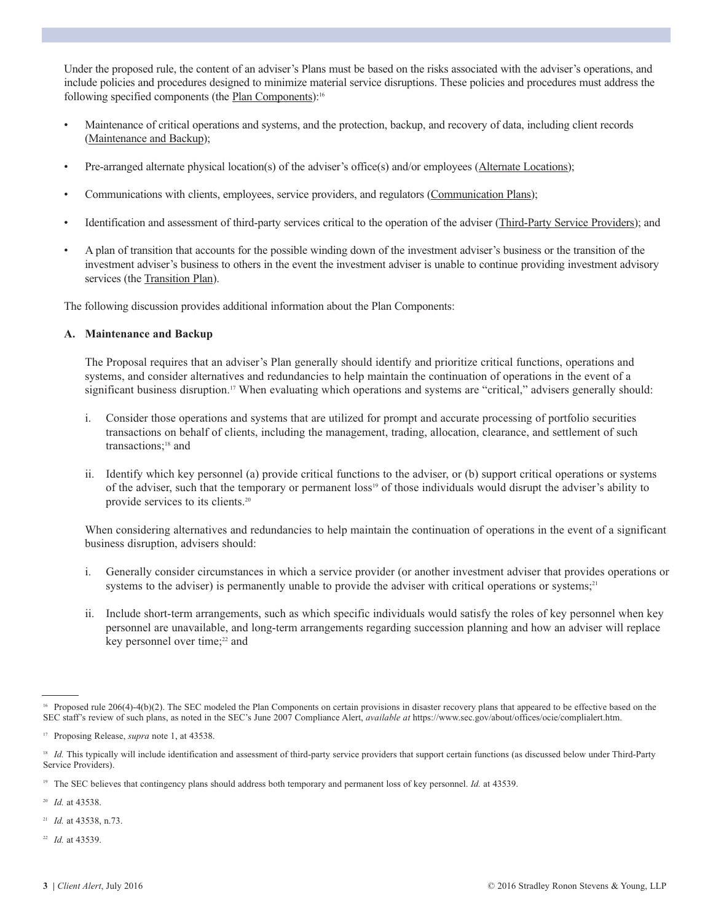Under the proposed rule, the content of an adviser's Plans must be based on the risks associated with the adviser's operations, and include policies and procedures designed to minimize material service disruptions. These policies and procedures must address the following specified components (the Plan Components):<sup>16</sup>

- Maintenance of critical operations and systems, and the protection, backup, and recovery of data, including client records (Maintenance and Backup);
- Pre-arranged alternate physical location(s) of the adviser's office(s) and/or employees (Alternate Locations);
- Communications with clients, employees, service providers, and regulators (Communication Plans);
- Identification and assessment of third-party services critical to the operation of the adviser (Third-Party Service Providers); and
- A plan of transition that accounts for the possible winding down of the investment adviser's business or the transition of the investment adviser's business to others in the event the investment adviser is unable to continue providing investment advisory services (the Transition Plan).

The following discussion provides additional information about the Plan Components:

#### **A. Maintenance and Backup**

 The Proposal requires that an adviser's Plan generally should identify and prioritize critical functions, operations and systems, and consider alternatives and redundancies to help maintain the continuation of operations in the event of a significant business disruption.<sup>17</sup> When evaluating which operations and systems are "critical," advisers generally should:

- i.Consider those operations and systems that are utilized for prompt and accurate processing of portfolio securities transactions on behalf of clients, including the management, trading, allocation, clearance, and settlement of such transactions; <sup>18</sup> and
- ii. Identify which key personnel (a) provide critical functions to the adviser, or (b) support critical operations or systems of the adviser, such that the temporary or permanent loss19 of those individuals would disrupt the adviser's ability to provide services to its clients. 20

When considering alternatives and redundancies to help maintain the continuation of operations in the event of a significant business disruption, advisers should:

- i. Generally consider circumstances in which a service provider (or another investment adviser that provides operations or systems to the adviser) is permanently unable to provide the adviser with critical operations or systems;<sup>21</sup>
- ii. Include short-term arrangements, such as which specific individuals would satisfy the roles of key personnel when key personnel are unavailable, and long-term arrangements regarding succession planning and how an adviser will replace key personnel over time; <sup>22</sup> and

<sup>20</sup> *Id.* at 43538.

<sup>21</sup> *Id.* at 43538, n.73.

<sup>22</sup> *Id.* at 43539.

<sup>&</sup>lt;sup>16</sup> Proposed rule 206(4)-4(b)(2). The SEC modeled the Plan Components on certain provisions in disaster recovery plans that appeared to be effective based on the SEC staff's review of such plans, as noted in the SEC's June 2007 Compliance Alert, *available at* https://www.sec.gov/about/offices/ocie/complialert.htm.

<sup>17</sup> Proposing Release, *supra* note 1, at 43538.

<sup>&</sup>lt;sup>18</sup> *Id.* This typically will include identification and assessment of third-party service providers that support certain functions (as discussed below under Third-Party Service Providers).

<sup>&</sup>lt;sup>19</sup> The SEC believes that contingency plans should address both temporary and permanent loss of key personnel. *Id.* at 43539.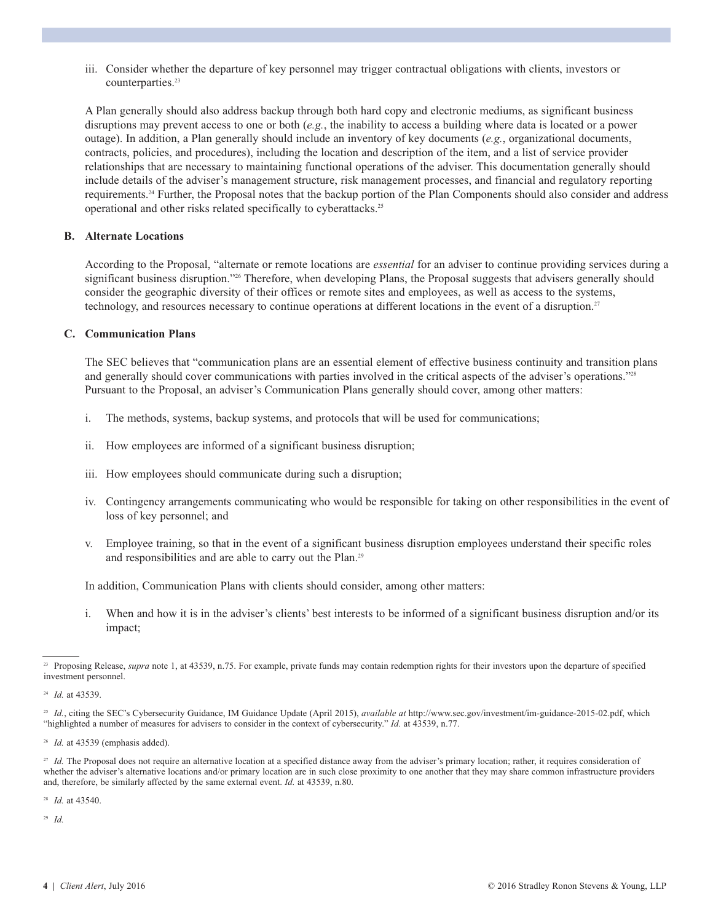iii. Consider whether the departure of key personnel may trigger contractual obligations with clients, investors or counterparties. 23

 A Plan generally should also address backup through both hard copy and electronic mediums, as significant business disruptions may prevent access to one or both (*e.g.*, the inability to access a building where data is located or a power outage). In addition, a Plan generally should include an inventory of key documents (*e.g.*, organizational documents, contracts, policies, and procedures), including the location and description of the item, and a list of service provider relationships that are necessary to maintaining functional operations of the adviser. This documentation generally should include details of the adviser's management structure, risk management processes, and financial and regulatory reporting requirements. <sup>24</sup> Further, the Proposal notes that the backup portion of the Plan Components should also consider and address operational and other risks related specifically to cyberattacks. 25

#### **B. Alternate Locations**

 According to the Proposal, "alternate or remote locations are *essential* for an adviser to continue providing services during a significant business disruption."<sup>26</sup> Therefore, when developing Plans, the Proposal suggests that advisers generally should consider the geographic diversity of their offices or remote sites and employees, as well as access to the systems, technology, and resources necessary to continue operations at different locations in the event of a disruption.<sup>27</sup>

#### **C. Communication Plans**

 The SEC believes that "communication plans are an essential element of effective business continuity and transition plans and generally should cover communications with parties involved in the critical aspects of the adviser's operations."<sup>28</sup> Pursuant to the Proposal, an adviser's Communication Plans generally should cover, among other matters:

- i. The methods, systems, backup systems, and protocols that will be used for communications;
- ii. How employees are informed of a significant business disruption;
- iii. How employees should communicate during such a disruption;
- iv. Contingency arrangements communicating who would be responsible for taking on other responsibilities in the event of loss of key personnel; and
- v. Employee training, so that in the event of a significant business disruption employees understand their specific roles and responsibilities and are able to carry out the Plan.<sup>29</sup>

In addition, Communication Plans with clients should consider, among other matters:

 i. When and how it is in the adviser's clients' best interests to be informed of a significant business disruption and/or its impact;

<sup>28</sup> *Id.* at 43540.

<sup>29</sup> *Id.*

<sup>&</sup>lt;sup>23</sup> Proposing Release, *supra* note 1, at 43539, n.75. For example, private funds may contain redemption rights for their investors upon the departure of specified investment personnel.

<sup>24</sup> *Id.* at 43539.

<sup>&</sup>lt;sup>25</sup> *Id.*, citing the SEC's Cybersecurity Guidance, IM Guidance Update (April 2015), *available at* http://www.sec.gov/investment/im-guidance-2015-02.pdf, which "highlighted a number of measures for advisers to consider in the context of cybersecurity." *Id.* at 43539, n.77.

<sup>&</sup>lt;sup>26</sup> *Id.* at 43539 (emphasis added).

<sup>&</sup>lt;sup>27</sup> *Id.* The Proposal does not require an alternative location at a specified distance away from the adviser's primary location; rather, it requires consideration of whether the adviser's alternative locations and/or primary location are in such close proximity to one another that they may share common infrastructure providers and, therefore, be similarly affected by the same external event. *Id.* at 43539, n.80.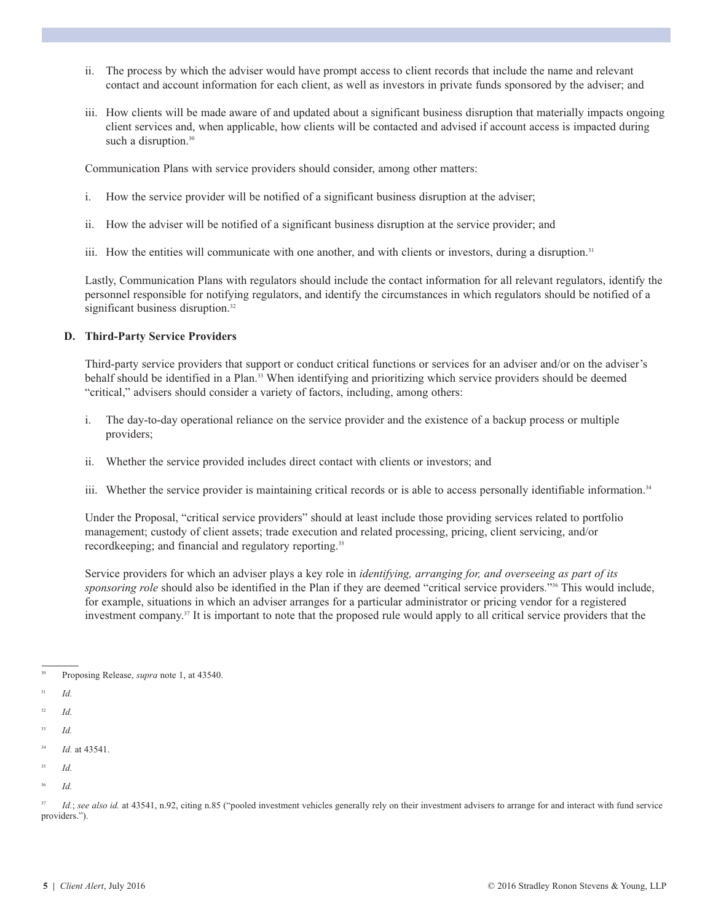- ii. The process by which the adviser would have prompt access to client records that include the name and relevant contact and account information for each client, as well as investors in private funds sponsored by the adviser; and
- iii. How clients will be made aware of and updated about a significant business disruption that materially impacts ongoing client services and, when applicable, how clients will be contacted and advised if account access is impacted during such a disruption.<sup>30</sup>

Communication Plans with service providers should consider, among other matters:

- i. How the service provider will be notified of a significant business disruption at the adviser;
- ii. How the adviser will be notified of a significant business disruption at the service provider; and
- iii. How the entities will communicate with one another, and with clients or investors, during a disruption.<sup>31</sup>

 Lastly, Communication Plans with regulators should include the contact information for all relevant regulators, identify the personnel responsible for notifying regulators, and identify the circumstances in which regulators should be notified of a significant business disruption.<sup>32</sup>

#### **D. Third-Party Service Providers**

 Third-party service providers that support or conduct critical functions or services for an adviser and/or on the adviser's behalf should be identified in a Plan.<sup>33</sup> When identifying and prioritizing which service providers should be deemed "critical," advisers should consider a variety of factors, including, among others:

- i. The day-to-day operational reliance on the service provider and the existence of a backup process or multiple providers;
- ii. Whether the service provided includes direct contact with clients or investors; and
- iii. Whether the service provider is maintaining critical records or is able to access personally identifiable information.<sup>34</sup>

 Under the Proposal, "critical service providers" should at least include those providing services related to portfolio management; custody of client assets; trade execution and related processing, pricing, client servicing, and/or recordkeeping; and financial and regulatory reporting.<sup>35</sup>

 Service providers for which an adviser plays a key role in *identifying, arranging for, and overseeing as part of its sponsoring role* should also be identified in the Plan if they are deemed "critical service providers."<sup>36</sup> This would include, for example, situations in which an adviser arranges for a particular administrator or pricing vendor for a registered investment company. <sup>37</sup> It is important to note that the proposed rule would apply to all critical service providers that the

- 31 *Id.*
- 32 *Id.*
- 33 *Id.*

35 *Id.*

<sup>30</sup> Proposing Release, *supra* note 1, at 43540.

<sup>34</sup> *Id.* at 43541.

<sup>36</sup> *Id.*

<sup>&</sup>lt;sup>37</sup> *Id.*; see also id. at 43541, n.92, citing n.85 ("pooled investment vehicles generally rely on their investment advisers to arrange for and interact with fund service providers.").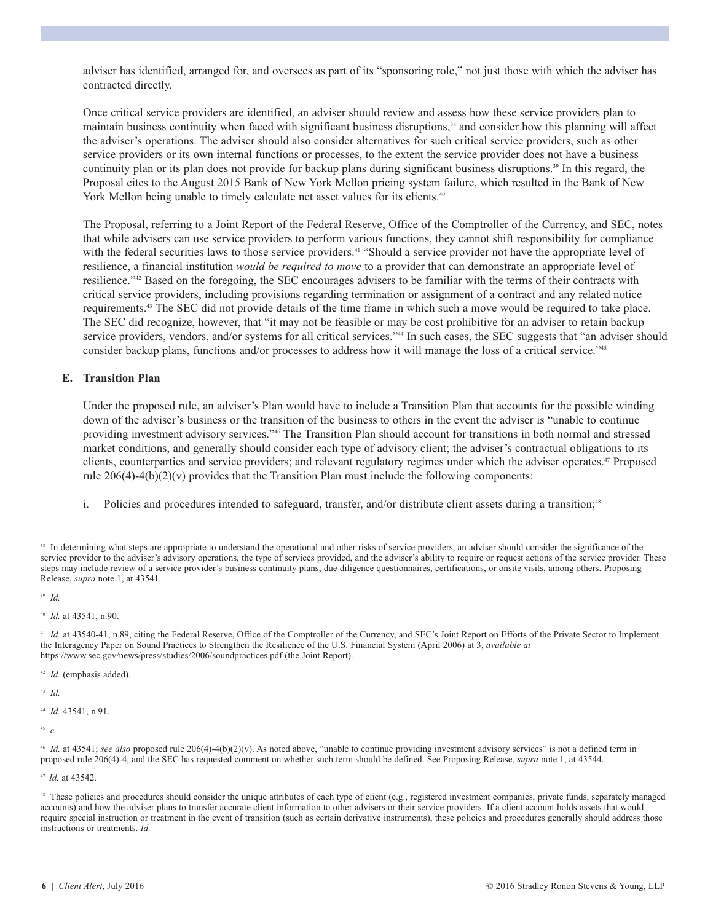adviser has identified, arranged for, and oversees as part of its "sponsoring role," not just those with which the adviser has contracted directly.

 Once critical service providers are identified, an adviser should review and assess how these service providers plan to maintain business continuity when faced with significant business disruptions, <sup>38</sup> and consider how this planning will affect the adviser's operations. The adviser should also consider alternatives for such critical service providers, such as other service providers or its own internal functions or processes, to the extent the service provider does not have a business continuity plan or its plan does not provide for backup plans during significant business disruptions. <sup>39</sup> In this regard, the Proposal cites to the August 2015 Bank of New York Mellon pricing system failure, which resulted in the Bank of New York Mellon being unable to timely calculate net asset values for its clients.<sup>40</sup>

 The Proposal, referring to a Joint Report of the Federal Reserve, Office of the Comptroller of the Currency, and SEC, notes that while advisers can use service providers to perform various functions, they cannot shift responsibility for compliance with the federal securities laws to those service providers.<sup>41</sup> "Should a service provider not have the appropriate level of resilience, a financial institution *would be required to move* to a provider that can demonstrate an appropriate level of resilience."42 Based on the foregoing, the SEC encourages advisers to be familiar with the terms of their contracts with critical service providers, including provisions regarding termination or assignment of a contract and any related notice requirements. <sup>43</sup> The SEC did not provide details of the time frame in which such a move would be required to take place. The SEC did recognize, however, that "it may not be feasible or may be cost prohibitive for an adviser to retain backup service providers, vendors, and/or systems for all critical services."<sup>44</sup> In such cases, the SEC suggests that "an adviser should consider backup plans, functions and/or processes to address how it will manage the loss of a critical service."45

#### **E. Transition Plan**

 Under the proposed rule, an adviser's Plan would have to include a Transition Plan that accounts for the possible winding down of the adviser's business or the transition of the business to others in the event the adviser is "unable to continue providing investment advisory services."46 The Transition Plan should account for transitions in both normal and stressed market conditions, and generally should consider each type of advisory client; the adviser's contractual obligations to its clients, counterparties and service providers; and relevant regulatory regimes under which the adviser operates. <sup>47</sup> Proposed rule  $206(4)-4(b)(2)(v)$  provides that the Transition Plan must include the following components:

i. Policies and procedures intended to safeguard, transfer, and/or distribute client assets during a transition;<sup>48</sup>

42 *Id.* (emphasis added).

43 *Id.*

<sup>44</sup> *Id.* 43541, n.91.

<sup>45</sup> *c*

<sup>47</sup> *Id.* at 43542.

<sup>&</sup>lt;sup>38</sup> In determining what steps are appropriate to understand the operational and other risks of service providers, an adviser should consider the significance of the service provider to the adviser's advisory operations, the type of services provided, and the adviser's ability to require or request actions of the service provider. These steps may include review of a service provider's business continuity plans, due diligence questionnaires, certifications, or onsite visits, among others. Proposing Release, *supra* note 1, at 43541.

<sup>39</sup> *Id.*

<sup>40</sup> *Id.* at 43541, n.90.

<sup>&</sup>lt;sup>41</sup> *Id.* at 43540-41, n.89, citing the Federal Reserve, Office of the Comptroller of the Currency, and SEC's Joint Report on Efforts of the Private Sector to Implement the Interagency Paper on Sound Practices to Strengthen the Resilience of the U.S. Financial System (April 2006) at 3, *available at* https://www.sec.gov/news/press/studies/2006/soundpractices.pdf (the Joint Report).

 $46$  *Id.* at 43541; see also proposed rule 206(4)-4(b)(2)(v). As noted above, "unable to continue providing investment advisory services" is not a defined term in proposed rule 206(4)-4, and the SEC has requested comment on whether such term should be defined. See Proposing Release, *supra* note 1, at 43544.

<sup>48</sup> These policies and procedures should consider the unique attributes of each type of client (e.g., registered investment companies, private funds, separately managed accounts) and how the adviser plans to transfer accurate client information to other advisers or their service providers. If a client account holds assets that would require special instruction or treatment in the event of transition (such as certain derivative instruments), these policies and procedures generally should address those instructions or treatments. *Id.*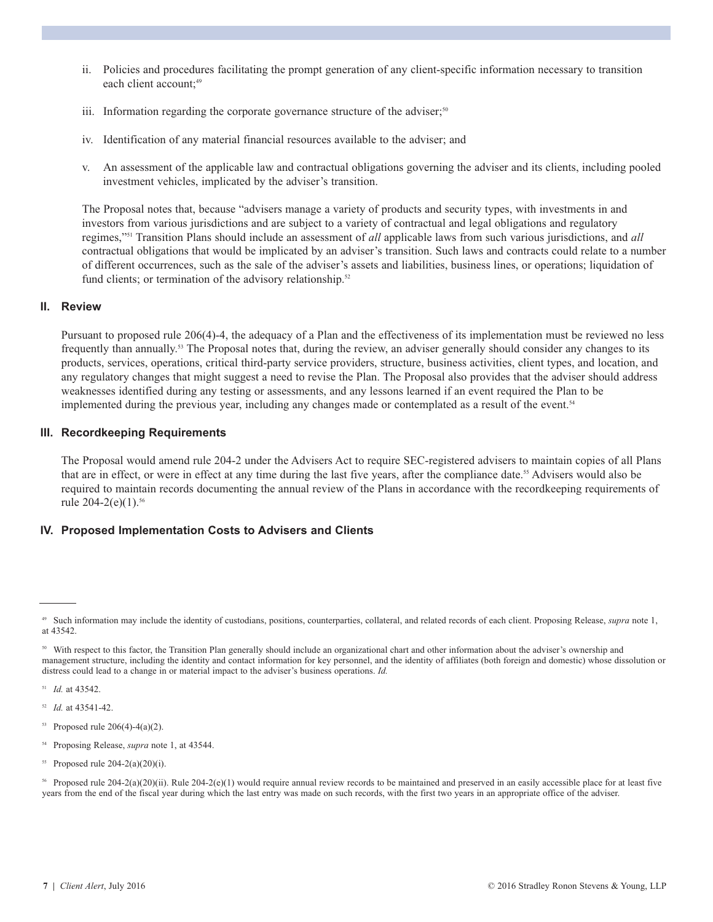- ii. Policies and procedures facilitating the prompt generation of any client-specific information necessary to transition each client account; 49
- iii. Information regarding the corporate governance structure of the adviser;<sup>50</sup>
	- iv. Identification of any material financial resources available to the adviser; and
	- v. An assessment of the applicable law and contractual obligations governing the adviser and its clients, including pooled investment vehicles, implicated by the adviser's transition.

 The Proposal notes that, because "advisers manage a variety of products and security types, with investments in and investors from various jurisdictions and are subject to a variety of contractual and legal obligations and regulatory regimes,"51 Transition Plans should include an assessment of *all* applicable laws from such various jurisdictions, and *all* contractual obligations that would be implicated by an adviser's transition. Such laws and contracts could relate to a number of different occurrences, such as the sale of the adviser's assets and liabilities, business lines, or operations; liquidation of fund clients; or termination of the advisory relationship.<sup>52</sup>

#### **II. Review**

 Pursuant to proposed rule 206(4)-4, the adequacy of a Plan and the effectiveness of its implementation must be reviewed no less frequently than annually.<sup>53</sup> The Proposal notes that, during the review, an adviser generally should consider any changes to its products, services, operations, critical third-party service providers, structure, business activities, client types, and location, and any regulatory changes that might suggest a need to revise the Plan. The Proposal also provides that the adviser should address weaknesses identified during any testing or assessments, and any lessons learned if an event required the Plan to be implemented during the previous year, including any changes made or contemplated as a result of the event. 54

#### **III. Recordkeeping Requirements**

 The Proposal would amend rule 204-2 under the Advisers Act to require SEC-registered advisers to maintain copies of all Plans that are in effect, or were in effect at any time during the last five years, after the compliance date. <sup>55</sup> Advisers would also be required to maintain records documenting the annual review of the Plans in accordance with the recordkeeping requirements of rule 204-2(e)(1). 56

#### **IV. Proposed Implementation Costs to Advisers and Clients**

- <sup>54</sup> Proposing Release, *supra* note 1, at 43544.
- <sup>55</sup> Proposed rule 204-2(a)(20)(i).

<sup>49</sup> Such information may include the identity of custodians, positions, counterparties, collateral, and related records of each client. Proposing Release, *supra* note 1, at 43542.

<sup>&</sup>lt;sup>50</sup> With respect to this factor, the Transition Plan generally should include an organizational chart and other information about the adviser's ownership and management structure, including the identity and contact information for key personnel, and the identity of affiliates (both foreign and domestic) whose dissolution or distress could lead to a change in or material impact to the adviser's business operations. *Id.*

<sup>51</sup> *Id.* at 43542.

<sup>52</sup> *Id.* at 43541-42.

 $53$  Proposed rule 206(4)-4(a)(2).

<sup>56</sup> Proposed rule 204-2(a)(20)(ii). Rule 204-2(e)(1) would require annual review records to be maintained and preserved in an easily accessible place for at least five years from the end of the fiscal year during which the last entry was made on such records, with the first two years in an appropriate office of the adviser.